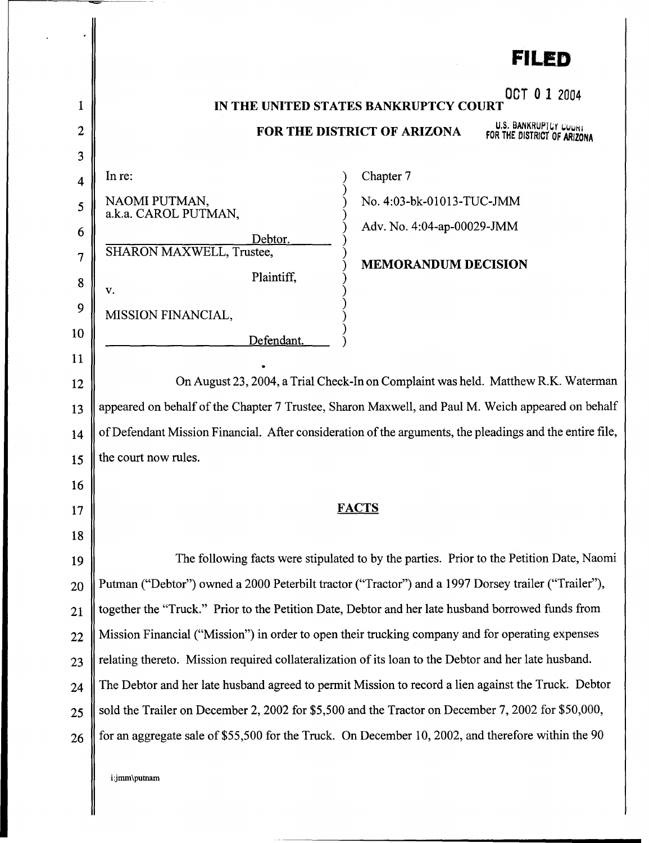|    | FILED                                                                                                    |
|----|----------------------------------------------------------------------------------------------------------|
| 1  | OCT 0 1 2004<br>IN THE UNITED STATES BANKRUPTCY COURT                                                    |
| 2  | U.S. BANKRUPTCY COURT<br>FOR THE DISTRICT OF ARIZONA                                                     |
| 3  | FOR THE DISTRICT OF ARIZONA                                                                              |
| 4  | Chapter 7<br>In re:                                                                                      |
| 5  | NAOMI PUTMAN,<br>No. 4:03-bk-01013-TUC-JMM                                                               |
| 6  | a.k.a. CAROL PUTMAN,<br>Adv. No. 4:04-ap-00029-JMM                                                       |
| 7  | Debtor.<br>SHARON MAXWELL, Trustee,                                                                      |
| 8  | <b>MEMORANDUM DECISION</b><br>Plaintiff,                                                                 |
| 9  | v.                                                                                                       |
| 10 | MISSION FINANCIAL,                                                                                       |
| 11 | Defendant.                                                                                               |
| 12 | On August 23, 2004, a Trial Check-In on Complaint was held. Matthew R.K. Waterman                        |
| 13 | appeared on behalf of the Chapter 7 Trustee, Sharon Maxwell, and Paul M. Weich appeared on behalf        |
| 14 | of Defendant Mission Financial. After consideration of the arguments, the pleadings and the entire file, |
| 15 | the court now rules.                                                                                     |
| 16 |                                                                                                          |
| 17 | <b>FACTS</b>                                                                                             |
| 18 |                                                                                                          |
| 19 | The following facts were stipulated to by the parties. Prior to the Petition Date, Naomi                 |
| 20 | Putman ("Debtor") owned a 2000 Peterbilt tractor ("Tractor") and a 1997 Dorsey trailer ("Trailer"),      |
| 21 | together the "Truck." Prior to the Petition Date, Debtor and her late husband borrowed funds from        |
| 22 | Mission Financial ("Mission") in order to open their trucking company and for operating expenses         |
| 23 | relating thereto. Mission required collateralization of its loan to the Debtor and her late husband.     |
| 24 | The Debtor and her late husband agreed to permit Mission to record a lien against the Truck. Debtor      |
| 25 | sold the Trailer on December 2, 2002 for \$5,500 and the Tractor on December 7, 2002 for \$50,000,       |
| 26 | for an aggregate sale of \$55,500 for the Truck. On December 10, 2002, and therefore within the 90       |
|    |                                                                                                          |
|    | i:jmm\putnam                                                                                             |
|    |                                                                                                          |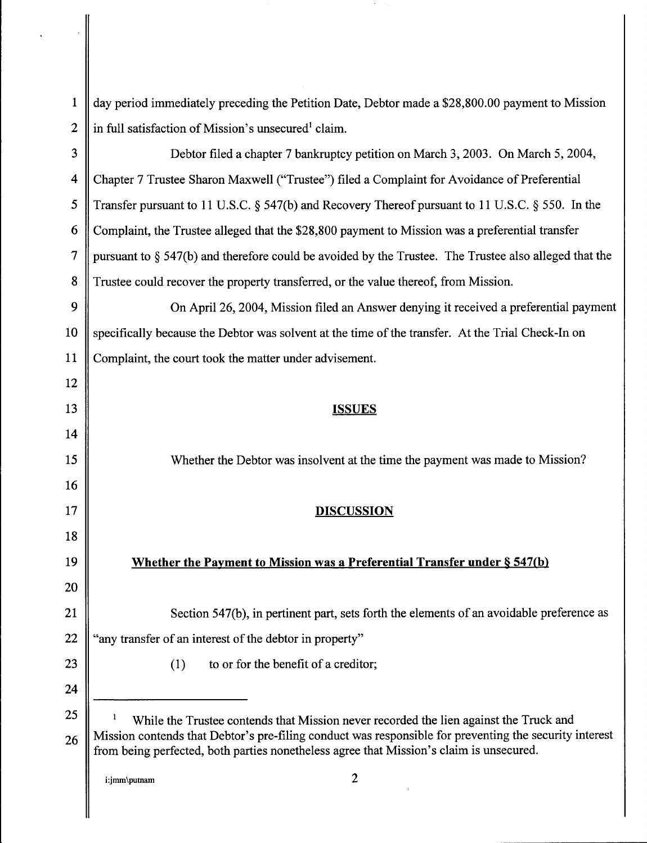| $\mathbf{1}$            | day period immediately preceding the Petition Date, Debtor made a \$28,800.00 payment to Mission                                                                                                                                                                                           |
|-------------------------|--------------------------------------------------------------------------------------------------------------------------------------------------------------------------------------------------------------------------------------------------------------------------------------------|
| $\overline{2}$          | in full satisfaction of Mission's unsecured <sup>1</sup> claim.                                                                                                                                                                                                                            |
| 3                       | Debtor filed a chapter 7 bankruptcy petition on March 3, 2003. On March 5, 2004,                                                                                                                                                                                                           |
| $\overline{\mathbf{4}}$ | Chapter 7 Trustee Sharon Maxwell ("Trustee") filed a Complaint for Avoidance of Preferential                                                                                                                                                                                               |
| 5                       | Transfer pursuant to 11 U.S.C. § 547(b) and Recovery Thereof pursuant to 11 U.S.C. § 550. In the                                                                                                                                                                                           |
| 6                       | Complaint, the Trustee alleged that the \$28,800 payment to Mission was a preferential transfer                                                                                                                                                                                            |
| 7                       | pursuant to § 547(b) and therefore could be avoided by the Trustee. The Trustee also alleged that the                                                                                                                                                                                      |
| 8                       | Trustee could recover the property transferred, or the value thereof, from Mission.                                                                                                                                                                                                        |
| 9                       | On April 26, 2004, Mission filed an Answer denying it received a preferential payment                                                                                                                                                                                                      |
| 10                      | specifically because the Debtor was solvent at the time of the transfer. At the Trial Check-In on                                                                                                                                                                                          |
| 11                      | Complaint, the court took the matter under advisement.                                                                                                                                                                                                                                     |
| 12                      |                                                                                                                                                                                                                                                                                            |
| 13                      | <b>ISSUES</b>                                                                                                                                                                                                                                                                              |
| 14                      |                                                                                                                                                                                                                                                                                            |
| 15                      | Whether the Debtor was insolvent at the time the payment was made to Mission?                                                                                                                                                                                                              |
| 16                      |                                                                                                                                                                                                                                                                                            |
| 17                      | <b>DISCUSSION</b>                                                                                                                                                                                                                                                                          |
| 18                      |                                                                                                                                                                                                                                                                                            |
| 19                      | Whether the Payment to Mission was a Preferential Transfer under § 547(b)                                                                                                                                                                                                                  |
| 20                      |                                                                                                                                                                                                                                                                                            |
| 21                      | Section 547(b), in pertinent part, sets forth the elements of an avoidable preference as                                                                                                                                                                                                   |
| 22                      | "any transfer of an interest of the debtor in property"                                                                                                                                                                                                                                    |
| 23                      | to or for the benefit of a creditor;<br>(1)                                                                                                                                                                                                                                                |
| 24                      |                                                                                                                                                                                                                                                                                            |
| 25<br>26                | While the Trustee contends that Mission never recorded the lien against the Truck and<br>Mission contends that Debtor's pre-filing conduct was responsible for preventing the security interest<br>from being perfected, both parties nonetheless agree that Mission's claim is unsecured. |
|                         | 2<br>i:jmm\putnam                                                                                                                                                                                                                                                                          |

Ĥ,

'---------------------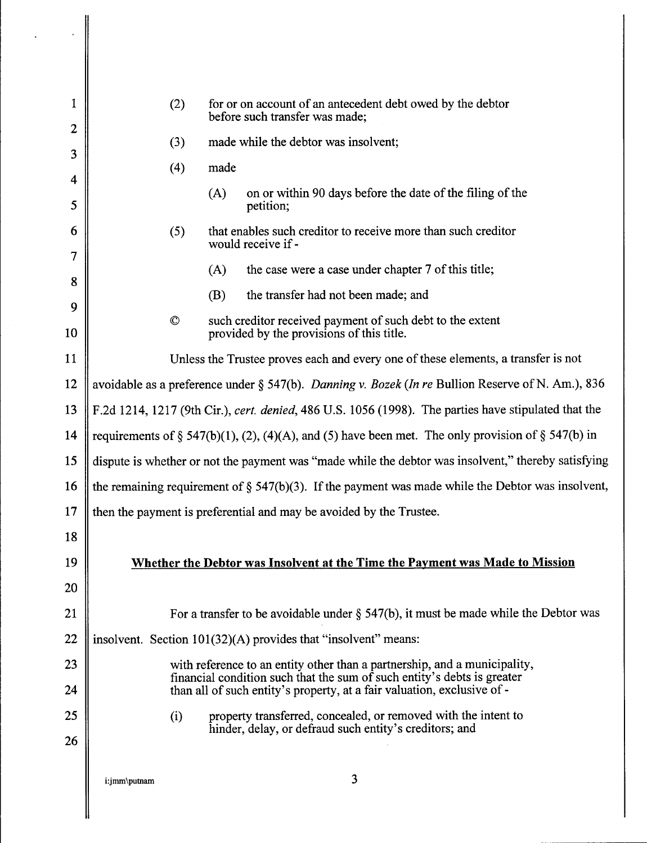| 1         | (2)                                                                                                        | for or on account of an antecedent debt owed by the debtor<br>before such transfer was made;                                                       |  |
|-----------|------------------------------------------------------------------------------------------------------------|----------------------------------------------------------------------------------------------------------------------------------------------------|--|
| 2         | (3)                                                                                                        | made while the debtor was insolvent;                                                                                                               |  |
| 3         | (4)                                                                                                        | made                                                                                                                                               |  |
| 4         |                                                                                                            | on or within 90 days before the date of the filing of the<br>(A)                                                                                   |  |
| 5         |                                                                                                            | petition;                                                                                                                                          |  |
| 6<br>7    | (5)                                                                                                        | that enables such creditor to receive more than such creditor<br>would receive if -                                                                |  |
|           |                                                                                                            | the case were a case under chapter 7 of this title;<br>(A)                                                                                         |  |
| 8         |                                                                                                            | the transfer had not been made; and<br>(B)                                                                                                         |  |
| 9         | $\circledcirc$                                                                                             | such creditor received payment of such debt to the extent                                                                                          |  |
| 10        |                                                                                                            | provided by the provisions of this title.                                                                                                          |  |
| 11        | Unless the Trustee proves each and every one of these elements, a transfer is not                          |                                                                                                                                                    |  |
| 12        | avoidable as a preference under § 547(b). Danning v. Bozek (In re Bullion Reserve of N. Am.), 836          |                                                                                                                                                    |  |
| 13        | F.2d 1214, 1217 (9th Cir.), cert. denied, 486 U.S. 1056 (1998). The parties have stipulated that the       |                                                                                                                                                    |  |
| 14        | requirements of § 547(b)(1), (2), (4)(A), and (5) have been met. The only provision of § 547(b) in         |                                                                                                                                                    |  |
| 15        | dispute is whether or not the payment was "made while the debtor was insolvent," thereby satisfying        |                                                                                                                                                    |  |
|           | 16    the remaining requirement of $\S$ 547(b)(3). If the payment was made while the Debtor was insolvent, |                                                                                                                                                    |  |
| 17        |                                                                                                            | then the payment is preferential and may be avoided by the Trustee.                                                                                |  |
| 18        |                                                                                                            |                                                                                                                                                    |  |
| 19        |                                                                                                            | Whether the Debtor was Insolvent at the Time the Payment was Made to Mission                                                                       |  |
| <b>20</b> |                                                                                                            |                                                                                                                                                    |  |
| 21        |                                                                                                            | For a transfer to be avoidable under $\S$ 547(b), it must be made while the Debtor was                                                             |  |
| 22        |                                                                                                            | insolvent. Section $101(32)(A)$ provides that "insolvent" means:                                                                                   |  |
| 23        |                                                                                                            | with reference to an entity other than a partnership, and a municipality,                                                                          |  |
| 24        |                                                                                                            | financial condition such that the sum of such entity's debts is greater<br>than all of such entity's property, at a fair valuation, exclusive of - |  |
| 25        | (i)                                                                                                        | property transferred, concealed, or removed with the intent to                                                                                     |  |
| 26        |                                                                                                            | hinder, delay, or defraud such entity's creditors; and                                                                                             |  |
|           |                                                                                                            |                                                                                                                                                    |  |
|           | i:jmm\putnam                                                                                               | 3                                                                                                                                                  |  |
|           |                                                                                                            |                                                                                                                                                    |  |

 $\hat{\mathcal{E}}$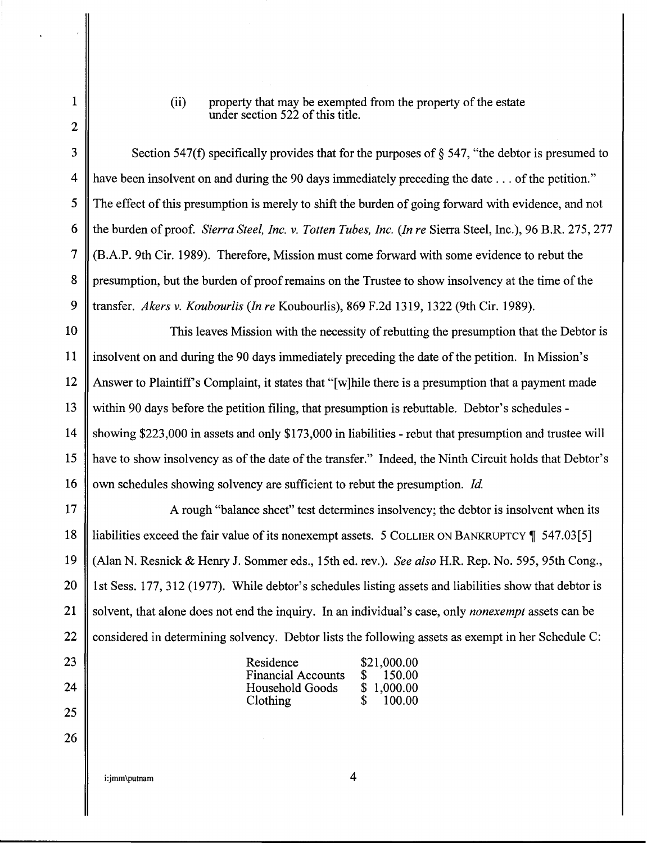1

2

(ii) property that may be exempted from the property of the estate under section 522 of this title.

3 Section 547(f) specifically provides that for the purposes of  $\S$  547, "the debtor is presumed to 4 have been insolvent on and during the 90 days immediately preceding the date ... of the petition." 5 The effect of this presumption is merely to shift the burden of going forward with evidence, and not 6 the burden of proof. *Sierra Steel, Inc.* v. *Totten Tubes, Inc. (In re* Sierra Steel, Inc.), 96 B.R. 275, 277 7 (B.A.P. 9th Cir. 1989). Therefore, Mission must come forward with some evidence to rebut the 8 presumption, but the burden of proof remains on the Trustee to show insolvency at the time of the 9 transfer. *Akers* v. *Koubourlis (In re* Koubourlis), 869 F.2d 1319, 1322 (9th Cir. 1989).

10 This leaves Mission with the necessity of rebutting the presumption that the Debtor is 11 insolvent on and during the 90 days immediately preceding the date ofthe petition. In Mission's 12 Answer to Plaintiffs Complaint, it states that "[w]hile there is a presumption that a payment made 13 within 90 days before the petition filing, that presumption is rebuttable. Debtor's schedules - 14 showing \$223,000 in assets and only \$173,000 in liabilities- rebut that presumption and trustee will 15 have to show insolvency as of the date of the transfer." Indeed, the Ninth Circuit holds that Debtor's 16 own schedules showing solvency are sufficient to rebut the presumption. *Id.* 

17 A rough "balance sheet" test determines insolvency; the debtor is insolvent when its 18 Illiabilities exceed the fair value of its nonexempt assets. 5 COLLIER ON BANKRUPTCY 1 547.03[5] 19 (Alan N. Resnick & Henry J. Sommer eds., 15th ed. rev.). *See also* H.R. Rep. No. 595, 95th Cong., 20 || 1st Sess. 177, 312 (1977). While debtor's schedules listing assets and liabilities show that debtor is 21 solvent, that alone does not end the inquiry. In an individual's case, only *nonexempt* assets can be 22 Considered in determining solvency. Debtor lists the following assets as exempt in her Schedule C:

| Residence                 |              | \$21,000.00 |
|---------------------------|--------------|-------------|
| <b>Financial Accounts</b> | $\mathbf{S}$ | 150.00      |
| Household Goods           |              | \$1,000.00  |
| <b>Clothing</b>           | $\mathbf{R}$ | 100.00      |

i:jmm\putnam

23

24

25

26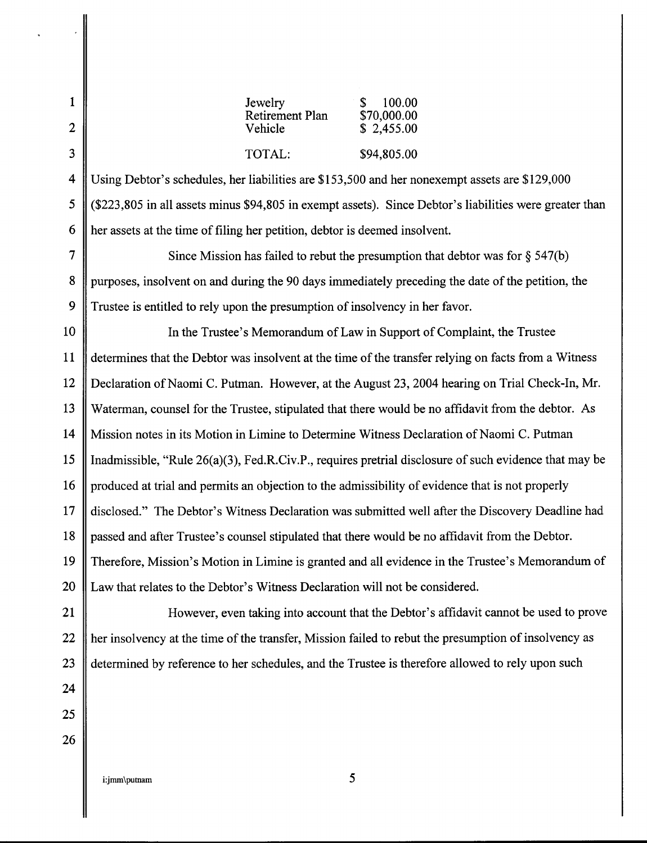| 1<br>$\overline{2}$ | Jewelry<br>100.00<br>S<br>Retirement Plan<br>\$70,000.00<br>Vehicle<br>\$2,455.00                       |  |
|---------------------|---------------------------------------------------------------------------------------------------------|--|
| 3                   | TOTAL:<br>\$94,805.00                                                                                   |  |
| 4                   | Using Debtor's schedules, her liabilities are \$153,500 and her nonexempt assets are \$129,000          |  |
| 5                   | (\$223,805 in all assets minus \$94,805 in exempt assets). Since Debtor's liabilities were greater than |  |
| 6                   | her assets at the time of filing her petition, debtor is deemed insolvent.                              |  |
| 7                   | Since Mission has failed to rebut the presumption that debtor was for $\S$ 547(b)                       |  |
| 8                   | purposes, insolvent on and during the 90 days immediately preceding the date of the petition, the       |  |
| 9                   | Trustee is entitled to rely upon the presumption of insolvency in her favor.                            |  |
| 10                  | In the Trustee's Memorandum of Law in Support of Complaint, the Trustee                                 |  |
| 11                  | determines that the Debtor was insolvent at the time of the transfer relying on facts from a Witness    |  |
| 12                  | Declaration of Naomi C. Putman. However, at the August 23, 2004 hearing on Trial Check-In, Mr.          |  |
| 13                  | Waterman, counsel for the Trustee, stipulated that there would be no affidavit from the debtor. As      |  |
| 14                  | Mission notes in its Motion in Limine to Determine Witness Declaration of Naomi C. Putman               |  |
| 15                  | Inadmissible, "Rule 26(a)(3), Fed.R.Civ.P., requires pretrial disclosure of such evidence that may be   |  |
| 16 <sup>1</sup>     | produced at trial and permits an objection to the admissibility of evidence that is not properly        |  |
| 17                  | disclosed." The Debtor's Witness Declaration was submitted well after the Discovery Deadline had        |  |
| 18                  | passed and after Trustee's counsel stipulated that there would be no affidavit from the Debtor.         |  |
| 19                  | Therefore, Mission's Motion in Limine is granted and all evidence in the Trustee's Memorandum of        |  |
| 20                  | Law that relates to the Debtor's Witness Declaration will not be considered.                            |  |
| 21                  | However, even taking into account that the Debtor's affidavit cannot be used to prove                   |  |
| 22                  | her insolvency at the time of the transfer, Mission failed to rebut the presumption of insolvency as    |  |
| 23                  | determined by reference to her schedules, and the Trustee is therefore allowed to rely upon such        |  |
| 24                  |                                                                                                         |  |
| 25                  |                                                                                                         |  |
| 26                  |                                                                                                         |  |
|                     |                                                                                                         |  |

i:jmm\putnam 5

I

 $\frac{1}{2}$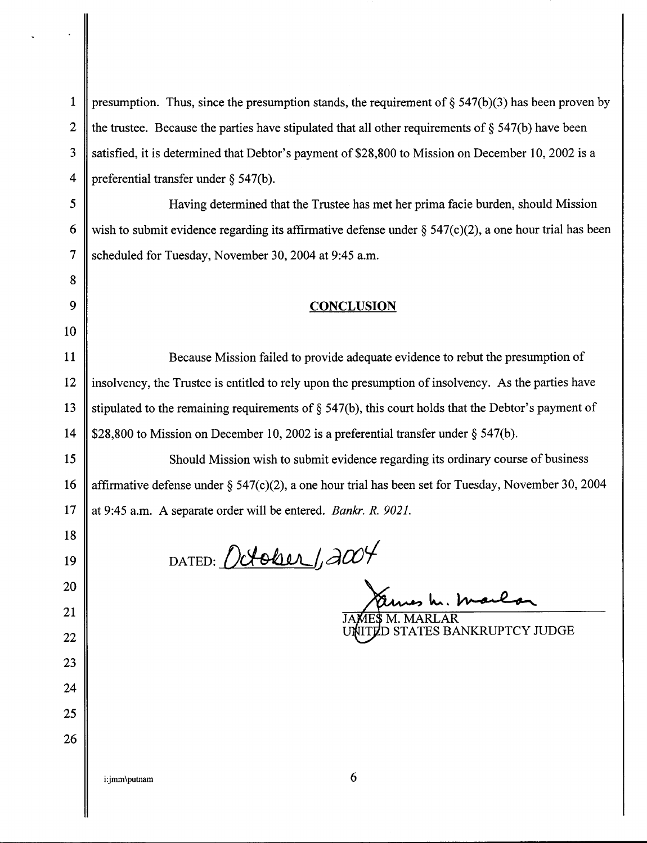| $\mathbf{1}$     | presumption. Thus, since the presumption stands, the requirement of $\S$ 547(b)(3) has been proven by     |
|------------------|-----------------------------------------------------------------------------------------------------------|
| $\boldsymbol{2}$ | the trustee. Because the parties have stipulated that all other requirements of $\S$ 547(b) have been     |
| 3                | satisfied, it is determined that Debtor's payment of \$28,800 to Mission on December 10, 2002 is a        |
| 4                | preferential transfer under § 547(b).                                                                     |
| 5                | Having determined that the Trustee has met her prima facie burden, should Mission                         |
| 6                | wish to submit evidence regarding its affirmative defense under $\S$ 547(c)(2), a one hour trial has been |
| 7                | scheduled for Tuesday, November 30, 2004 at 9:45 a.m.                                                     |
| 8                |                                                                                                           |
| 9                | <b>CONCLUSION</b>                                                                                         |
| 10               |                                                                                                           |
| 11               | Because Mission failed to provide adequate evidence to rebut the presumption of                           |
| 12               | insolvency, the Trustee is entitled to rely upon the presumption of insolvency. As the parties have       |
| 13               | stipulated to the remaining requirements of $\S$ 547(b), this court holds that the Debtor's payment of    |
| 14               | \$28,800 to Mission on December 10, 2002 is a preferential transfer under $\S$ 547(b).                    |
| 15               | Should Mission wish to submit evidence regarding its ordinary course of business                          |
| 16               | affirmative defense under $\S$ 547(c)(2), a one hour trial has been set for Tuesday, November 30, 2004    |
| 17               | at 9:45 a.m. A separate order will be entered. Bankr. R. 9021.                                            |
| 18<br>19         | October, 2004<br>DATED:                                                                                   |
| 20               |                                                                                                           |
| 21               |                                                                                                           |
| 22               | M. MARLAR<br>STATES BANKRUPTCY JUDGE                                                                      |
| 23               |                                                                                                           |
| 24               |                                                                                                           |
| 25               |                                                                                                           |
| 26               |                                                                                                           |
|                  | 6<br>i:jmm\putnam                                                                                         |

 $\mathbf I$